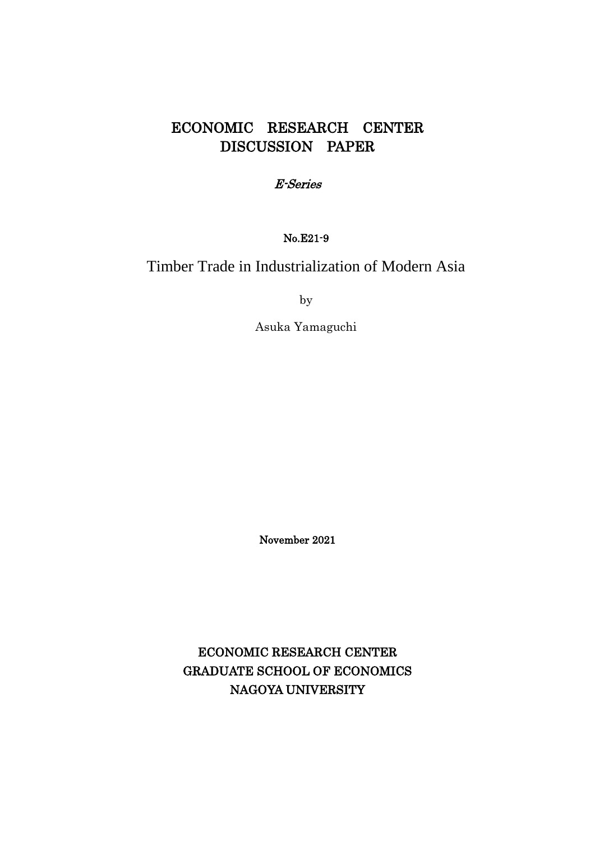## ECONOMIC RESEARCH CENTER DISCUSSION PAPER

### E-Series

## No.E21-9

# Timber Trade in Industrialization of Modern Asia

by

Asuka Yamaguchi

November 2021

ECONOMIC RESEARCH CENTER GRADUATE SCHOOL OF ECONOMICS NAGOYA UNIVERSITY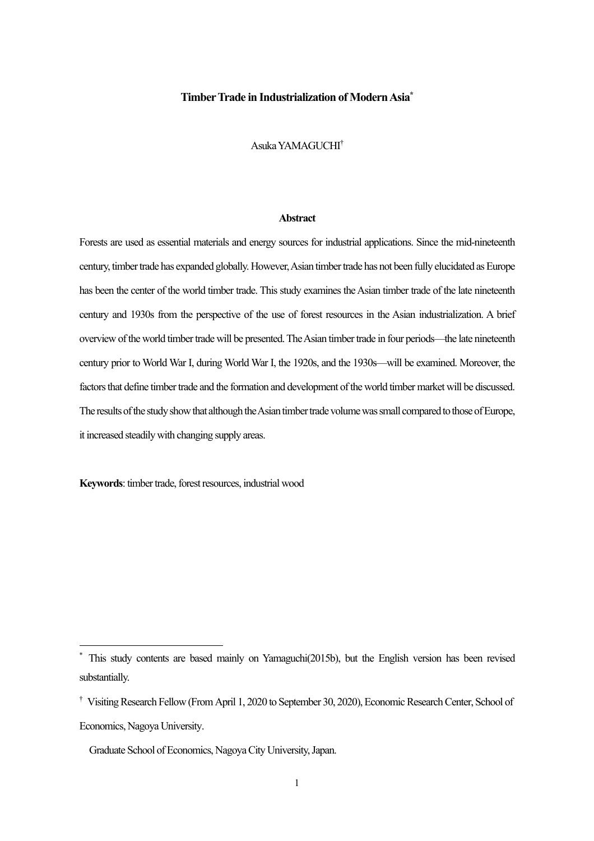#### **Timber Trade in Industrialization of Modern Asia\***

Asuka YAMAGUCHI†

#### **Abstract**

Forests are used as essential materials and energy sources for industrial applications. Since the mid-nineteenth century, timber trade has expanded globally.However, Asian timber trade has not been fully elucidated as Europe has been the center of the world timber trade. This study examines the Asian timber trade of the late nineteenth century and 1930s from the perspective of the use of forest resources in the Asian industrialization. A brief overview of the world timber trade will be presented. TheAsian timber trade in four periods—the late nineteenth century prior to World War I, during World War I, the 1920s, and the 1930s—will be examined. Moreover, the factors that define timber trade and the formation and development of the world timber market will be discussed. The results of the study show that although the Asian timber trade volume was small compared to those of Europe, it increased steadily with changing supply areas.

**Keywords**: timber trade, forest resources, industrial wood

This study contents are based mainly on Yamaguchi(2015b), but the English version has been revised substantially.

<sup>†</sup> Visiting Research Fellow (From April 1, 2020 to September 30, 2020), Economic Research Center, School of Economics, Nagoya University.

Graduate School of Economics, Nagoya City University, Japan.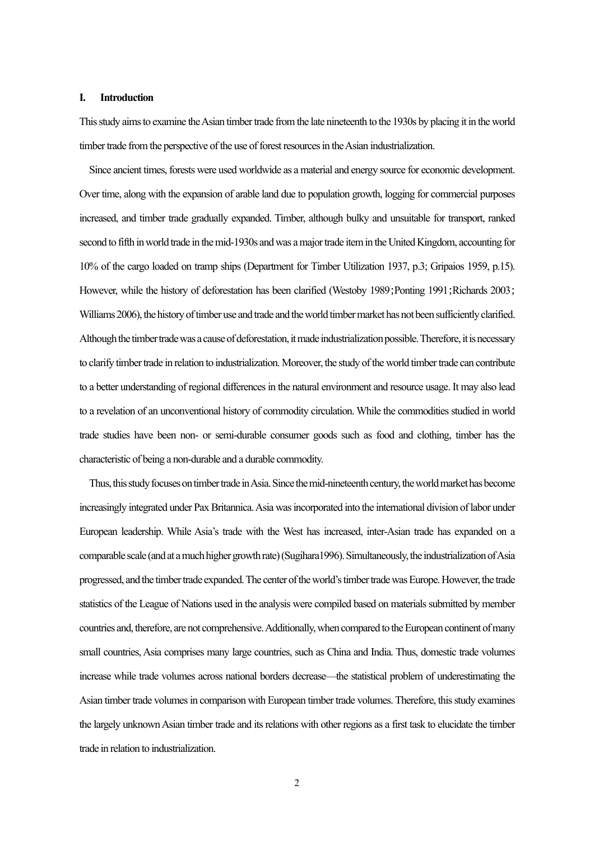#### **I. Introduction**

This study aims to examine the Asian timber trade fromthe late nineteenth to the 1930s by placing it in the world timber trade from the perspective of the use of forest resources in the Asian industrialization.

Since ancient times,forests were used worldwide as a material and energy source for economic development. Over time, along with the expansion of arable land due to population growth, logging for commercial purposes increased, and timber trade gradually expanded. Timber, although bulky and unsuitable for transport, ranked second to fifth in world trade in the mid-1930s and was a major trade item in the United Kingdom, accounting for 10% of the cargo loaded on tramp ships (Department for Timber Utilization 1937, p.3; Gripaios 1959, p.15). However, while the history of deforestation has been clarified (Westoby 1989;Ponting 1991;Richards 2003; Williams 2006), the history of timber use and trade and the world timber market has not been sufficiently clarified. Although the timber trade was a cause of deforestation, it made industrialization possible. Therefore, it is necessary to clarify timber trade in relation to industrialization. Moreover, the study of the world timber trade can contribute to a better understanding of regional differences in the natural environment and resource usage. It may also lead to a revelation of an unconventional history of commodity circulation. While the commodities studied in world trade studies have been non- or semi-durable consumer goods such as food and clothing, timber has the characteristic of being a non-durable and a durable commodity.

Thus, this study focuses on timber trade in Asia. Since the mid-nineteenth century, the world market has become increasingly integrated under Pax Britannica.Asia was incorporated into the international division of labor under European leadership. While Asia's trade with the West has increased, inter-Asian trade has expanded on a comparable scale (and at a much higher growthrate)(Sugihara1996). Simultaneously, the industrialization of Asia progressed, and the timber trade expanded.The center of the world'stimber trade was Europe. However, the trade statistics of the League of Nations used in the analysis were compiled based on materials submitted by member countries and, therefore, are not comprehensive. Additionally, when compared to the European continent ofmany small countries, Asia comprises many large countries, such as China and India. Thus, domestic trade volumes increase while trade volumes across national borders decrease—the statistical problem of underestimating the Asian timber trade volumes in comparison with European timber trade volumes. Therefore, this study examines the largely unknown Asian timber trade and its relations with other regions as a first task to elucidate the timber trade in relation to industrialization.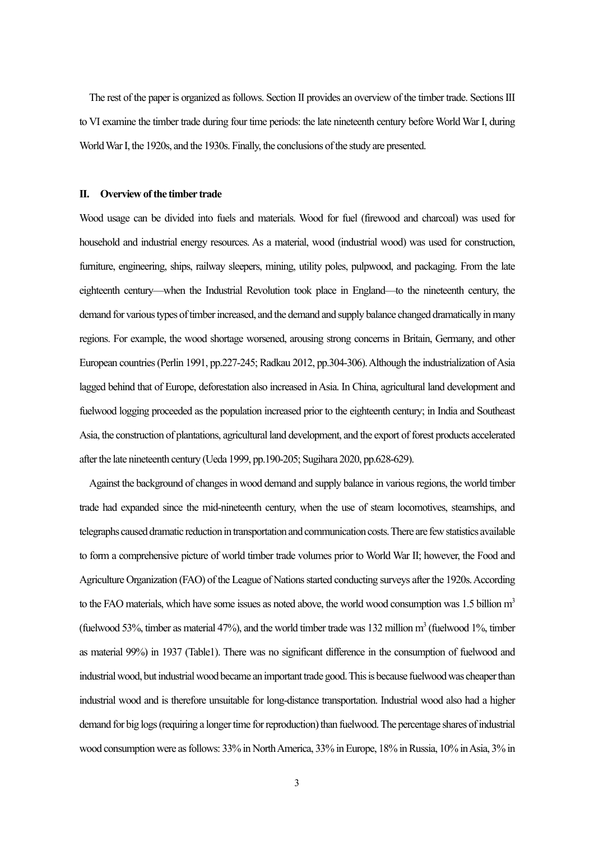The rest of the paper is organized as follows. Section II provides an overview of the timber trade. Sections III to VI examine the timber trade during four time periods: the late nineteenth century before World War I, during World WarI, the 1920s, and the 1930s. Finally, the conclusions of the study are presented.

#### **II. Overview of the timber trade**

Wood usage can be divided into fuels and materials. Wood for fuel (firewood and charcoal) was used for household and industrial energy resources. As a material, wood (industrial wood) was used for construction, furniture, engineering, ships, railway sleepers, mining, utility poles, pulpwood, and packaging. From the late eighteenth century—when the Industrial Revolution took place in England—to the nineteenth century, the demand for various types of timber increased, and the demand and supply balance changed dramatically in many regions. For example, the wood shortage worsened, arousing strong concerns in Britain, Germany, and other European countries(Perlin 1991, pp.227-245; Radkau 2012, pp.304-306). Although the industrialization of Asia lagged behind that of Europe, deforestation also increased in Asia. In China, agricultural land development and fuelwood logging proceeded as the population increased prior to the eighteenth century; in India and Southeast Asia, the construction of plantations, agricultural land development, and the export of forest products accelerated after the late nineteenth century (Ueda 1999, pp.190-205; Sugihara 2020, pp.628-629).

Against the background of changes in wood demand and supply balance in various regions, the world timber trade had expanded since the mid-nineteenth century, when the use of steam locomotives, steamships, and telegraphs caused dramatic reduction in transportation and communication costs. There are few statistics available to form a comprehensive picture of world timber trade volumes prior to World War II; however, the Food and Agriculture Organization (FAO) of the League of Nations started conducting surveys after the 1920s. According to the FAO materials, which have some issues as noted above, the world wood consumption was 1.5 billion  $m<sup>3</sup>$ (fuelwood 53%, timber as material 47%), and the world timber trade was 132 million  $m<sup>3</sup>$  (fuelwood 1%, timber as material 99%) in 1937 (Table1). There was no significant difference in the consumption of fuelwood and industrial wood, but industrial wood became an important trade good. This is because fuelwoodwas cheaper than industrial wood and is therefore unsuitable for long-distance transportation. Industrial wood also had a higher demand for big logs (requiring a longer time for reproduction) than fuelwood. The percentage shares of industrial wood consumption were as follows: 33% in North America, 33% in Europe, 18% in Russia, 10% in Asia, 3% in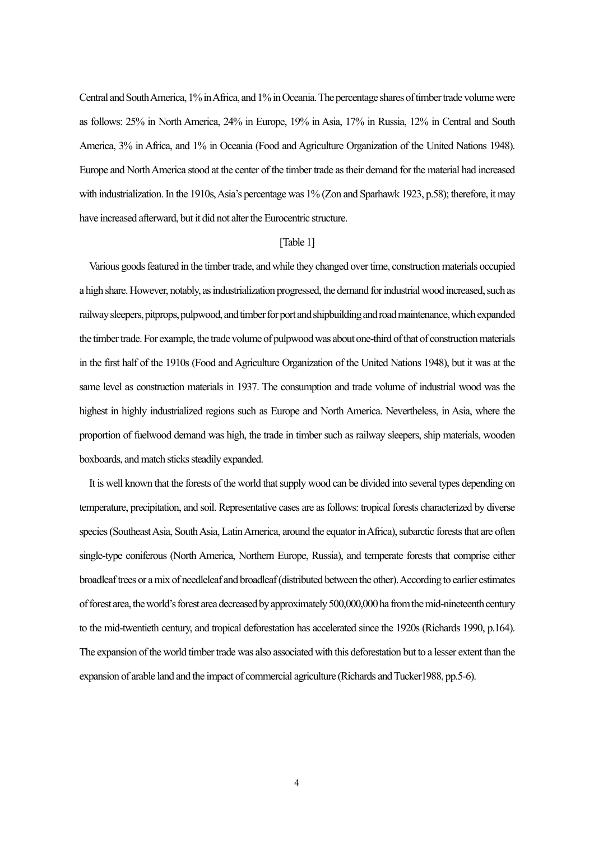Central and South America, 1% in Africa, and 1%in Oceania. The percentage shares of timber trade volumewere as follows: 25% in North America, 24% in Europe, 19% in Asia, 17% in Russia, 12% in Central and South America, 3% in Africa, and 1% in Oceania (Food and Agriculture Organization of the United Nations 1948). Europe and North America stood at the center of the timber trade as their demand for the material had increased with industrialization. In the 1910s, Asia's percentage was 1% (Zon and Sparhawk 1923, p.58); therefore, it may have increased afterward, but it did not alter the Eurocentric structure.

#### [Table 1]

Various goods featured in the timber trade, and while they changed over time, construction materials occupied a high share. However, notably, as industrialization progressed, the demand for industrial wood increased, such as railway sleepers, pitprops, pulpwood, and timber for port and shipbuilding and road maintenance, which expanded the timber trade. For example, the trade volume of pulpwood was about one-third of that of construction materials in the first half of the 1910s (Food and Agriculture Organization of the United Nations 1948), but it was at the same level as construction materials in 1937. The consumption and trade volume of industrial wood was the highest in highly industrialized regions such as Europe and North America. Nevertheless, in Asia, where the proportion of fuelwood demand was high, the trade in timber such as railway sleepers, ship materials, wooden boxboards, and match sticks steadily expanded.

It is well known that the forests of the world that supply wood can be divided into several types depending on temperature, precipitation, and soil. Representative cases are as follows: tropical forests characterized by diverse species (Southeast Asia, South Asia, Latin America, around the equator in Africa), subarctic forests that are often single-type coniferous (North America, Northern Europe, Russia), and temperate forests that comprise either broadleaf trees or a mix of needleleaf and broadleaf (distributed between the other). According to earlier estimates of forest area, the world's forest area decreased by approximately 500,000,000 ha from the mid-nineteenth century to the mid-twentieth century, and tropical deforestation has accelerated since the 1920s (Richards 1990, p.164). The expansion of the world timber trade was also associated with this deforestation but to a lesser extent than the expansion of arable land and the impact of commercial agriculture (Richards and Tucker1988, pp.5-6).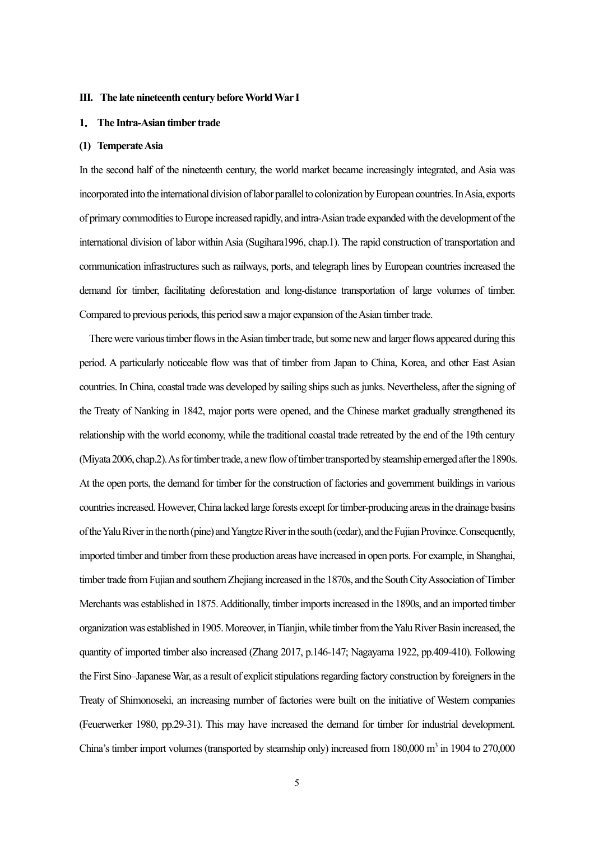#### **III. The late nineteenth century beforeWorld War I**

#### **1**. **The Intra-Asian timber trade**

#### **(1) Temperate Asia**

In the second half of the nineteenth century, the world market became increasingly integrated, and Asia was incorporated into the international division of labor parallel to colonization by European countries. In Asia, exports of primary commodities to Europe increased rapidly, and intra-Asian trade expandedwith the development of the international division of labor within Asia (Sugihara1996, chap.1). The rapid construction of transportation and communication infrastructures such as railways, ports, and telegraph lines by European countries increased the demand for timber, facilitating deforestation and long-distance transportation of large volumes of timber. Compared to previous periods, this period saw a major expansion of the Asian timber trade.

There were various timber flows in the Asian timber trade, but some new and larger flows appeared during this period. A particularly noticeable flow was that of timber from Japan to China, Korea, and other East Asian countries.In China, coastal trade was developed by sailing ships such as junks. Nevertheless, after the signing of the Treaty of Nanking in 1842, major ports were opened, and the Chinese market gradually strengthened its relationship with the world economy, while the traditional coastal trade retreated by the end of the 19th century (Miyata 2006, chap.2). As for timber trade, a new flow of timber transported by steamship emerged after the 1890s. At the open ports, the demand for timber for the construction of factories and government buildings in various countriesincreased. However, China lacked large forests except fortimber-producing areas in the drainage basins of the Yalu River in the north (pine) and Yangtze River in the south (cedar), and the Fujian Province.Consequently, imported timber and timber from these production areas have increased in open ports. For example, in Shanghai, timber trade from Fujian and southern Zhejiang increased in the 1870s, and the South City Association of Timber Merchants was established in 1875. Additionally, timber imports increased in the 1890s, and an imported timber organization was established in 1905. Moreover,in Tianjin, while timber from the Yalu River Basin increased, the quantity of imported timber also increased (Zhang 2017, p.146-147; Nagayama 1922, pp.409-410). Following the First Sino–Japanese War, as a result of explicit stipulations regarding factory construction by foreigners in the Treaty of Shimonoseki, an increasing number of factories were built on the initiative of Western companies (Feuerwerker 1980, pp.29-31). This may have increased the demand for timber for industrial development. China's timber import volumes (transported by steamship only) increased from  $180,000$  m<sup>3</sup> in  $1904$  to  $270,000$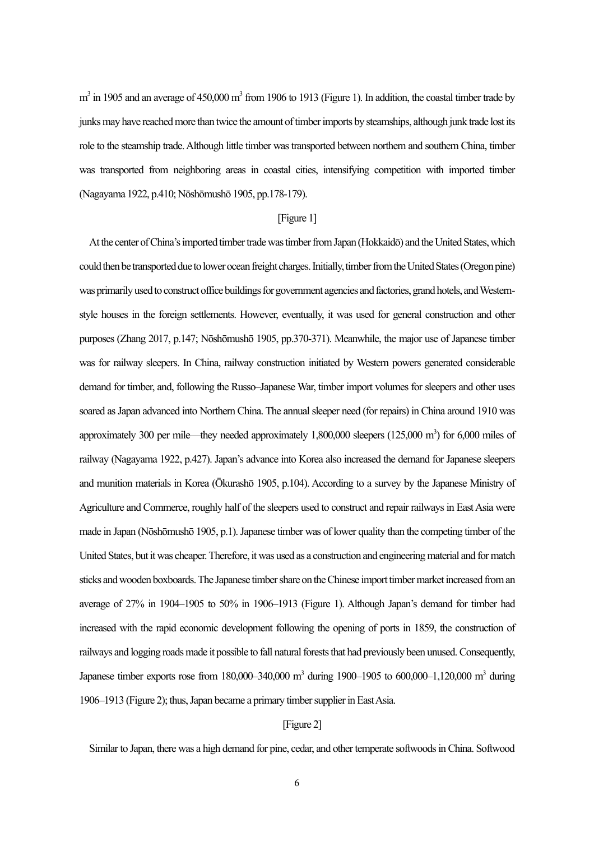$m<sup>3</sup>$  in 1905 and an average of 450,000  $m<sup>3</sup>$  from 1906 to 1913 (Figure 1). In addition, the coastal timber trade by junks may have reached more than twice the amount of timber imports by steamships, although junk trade lost its role to the steamship trade.Although little timber was transported between northern and southern China, timber was transported from neighboring areas in coastal cities, intensifying competition with imported timber (Nagayama 1922, p.410; Nōshōmushō 1905, pp.178-179).

#### [Figure 1]

At the center of China's imported timber trade was timber from Japan (Hokkaidō) and the United States, which could then be transported due tolower ocean freight charges. Initially, timber from the United States (Oregon pine) was primarily used to construct office buildings for government agencies and factories, grand hotels, and Westernstyle houses in the foreign settlements. However, eventually, it was used for general construction and other purposes (Zhang 2017, p.147; Nōshōmushō 1905, pp.370-371). Meanwhile, the major use of Japanese timber was for railway sleepers. In China, railway construction initiated by Western powers generated considerable demand for timber, and, following the Russo–Japanese War, timber import volumes for sleepers and other uses soared as Japan advanced into Northern China. The annual sleeper need (for repairs) in China around 1910 was approximately 300 per mile—they needed approximately  $1,800,000$  sleepers  $(125,000 \text{ m}^3)$  for  $6,000$  miles of railway (Nagayama 1922, p.427). Japan's advance into Korea also increased the demand for Japanese sleepers and munition materials in Korea (Ōkurashō 1905, p.104). According to a survey by the Japanese Ministry of Agriculture and Commerce, roughly half of the sleepers used to construct and repair railways in East Asia were made in Japan (Nōshōmushō 1905, p.1). Japanese timber was of lower quality than the competing timber of the United States, but it was cheaper. Therefore, it was used as a construction and engineering material and formatch sticks and wooden boxboards. The Japanese timber share on the Chinese import timber market increased from an average of 27% in 1904–1905 to 50% in 1906–1913 (Figure 1). Although Japan's demand for timber had increased with the rapid economic development following the opening of ports in 1859, the construction of railways and logging roads made it possible to fall natural forests that had previously been unused. Consequently, Japanese timber exports rose from 180,000–340,000 m<sup>3</sup> during 1900–1905 to 600,000–1,120,000 m<sup>3</sup> during 1906–1913 (Figure 2); thus, Japan became a primary timber supplier in East Asia.

#### [Figure 2]

Similar to Japan, there was a high demand for pine, cedar, and other temperate softwoods in China. Softwood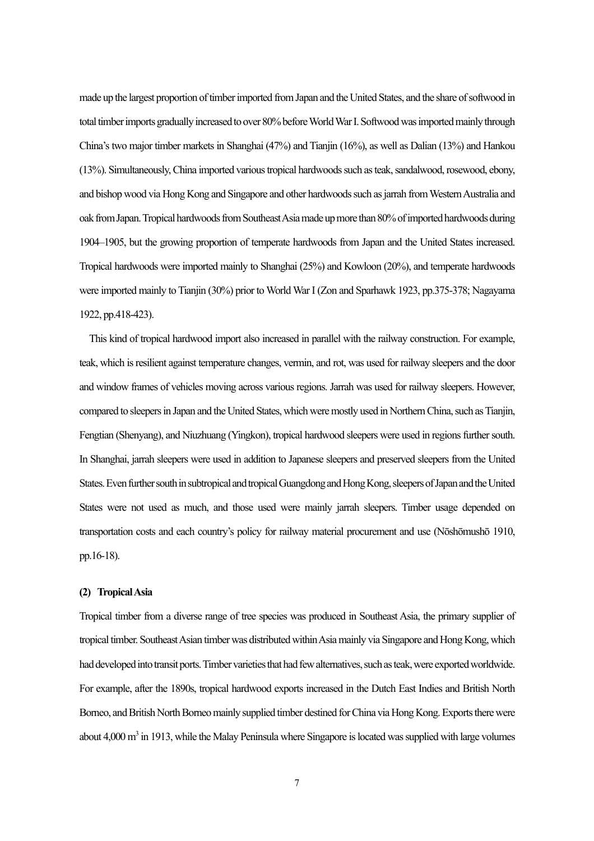made up the largest proportion of timber imported from Japan and the United States, and the share of softwood in total timber imports gradually increased to over 80% before World War I. Softwood was imported mainly through China's two major timber markets in Shanghai (47%) and Tianjin (16%), as well as Dalian (13%) and Hankou (13%). Simultaneously, China imported varioustropical hardwoods such asteak, sandalwood, rosewood, ebony, and bishop wood via Hong Kong and Singapore and other hardwoods such as jarrah from Western Australia and oak from Japan.Tropical hardwoods from Southeast Asia made up more than 80% of imported hardwoods during 1904–1905, but the growing proportion of temperate hardwoods from Japan and the United States increased. Tropical hardwoods were imported mainly to Shanghai (25%) and Kowloon (20%), and temperate hardwoods were imported mainly to Tianjin (30%) prior to World War I (Zon and Sparhawk 1923, pp.375-378; Nagayama 1922, pp.418-423).

This kind of tropical hardwood import also increased in parallel with the railway construction. For example, teak, which is resilient against temperature changes, vermin, and rot, was used for railway sleepers and the door and window frames of vehicles moving across various regions. Jarrah was used for railway sleepers. However, compared to sleepers in Japan and the United States, which were mostly used in Northern China, such as Tianjin, Fengtian (Shenyang), and Niuzhuang (Yingkon), tropical hardwood sleepers were used in regions further south. In Shanghai, jarrah sleepers were used in addition to Japanese sleepers and preserved sleepers from the United States. Even further south in subtropical and tropical Guangdong and Hong Kong, sleepers of Japan and the United States were not used as much, and those used were mainly jarrah sleepers. Timber usage depended on transportation costs and each country's policy for railway material procurement and use (Nōshōmushō 1910, pp.16-18).

#### **(2) Tropical Asia**

Tropical timber from a diverse range of tree species was produced in Southeast Asia, the primary supplier of tropical timber. Southeast Asian timber was distributed within Asia mainly via Singapore and Hong Kong, which had developed into transit ports. Timber varieties that had few alternatives, such as teak, were exported worldwide. For example, after the 1890s, tropical hardwood exports increased in the Dutch East Indies and British North Borneo, and British North Borneo mainly supplied timber destined for China via Hong Kong. Exports there were about  $4,000 \text{ m}^3$  in 1913, while the Malay Peninsula where Singapore is located was supplied with large volumes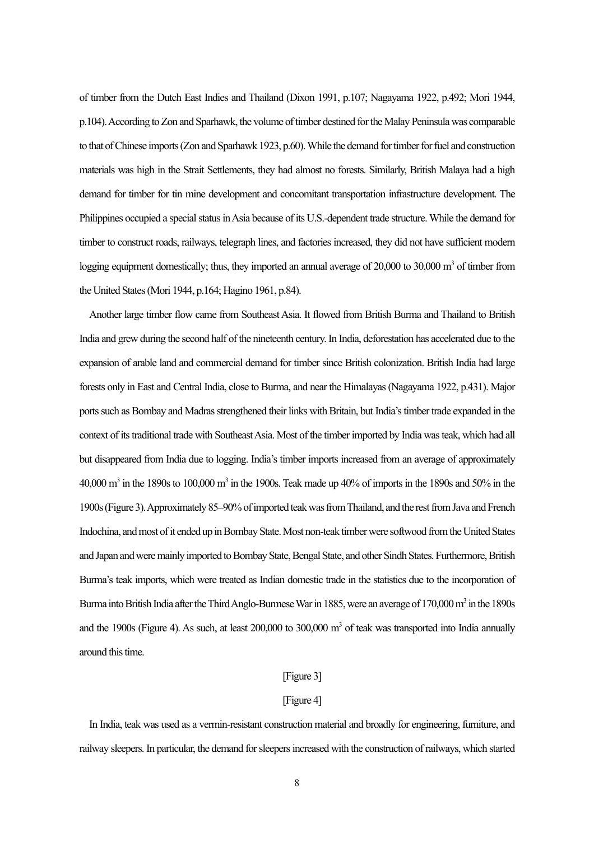of timber from the Dutch East Indies and Thailand (Dixon 1991, p.107; Nagayama 1922, p.492; Mori 1944, p.104).According to Zon and Sparhawk, the volume of timber destined for the Malay Peninsula was comparable to that of Chinese imports(Zon and Sparhawk 1923, p.60). While the demand for timber for fuel and construction materials was high in the Strait Settlements, they had almost no forests. Similarly, British Malaya had a high demand for timber for tin mine development and concomitant transportation infrastructure development. The Philippines occupied a special status in Asia because of its U.S.-dependent trade structure. While the demand for timber to construct roads, railways, telegraph lines, and factories increased, they did not have sufficient modern logging equipment domestically; thus, they imported an annual average of  $20,000$  to  $30,000$  m<sup>3</sup> of timber from the United States(Mori 1944, p.164; Hagino 1961, p.84).

Another large timber flow came from Southeast Asia. It flowed from British Burma and Thailand to British India and grew during the second half of the nineteenth century.In India, deforestation has accelerated due to the expansion of arable land and commercial demand for timber since British colonization. British India had large forests only in East and Central India, close to Burma, and near the Himalayas(Nagayama 1922, p.431). Major ports such as Bombay and Madras strengthened their links with Britain, but India's timber trade expanded in the context of its traditional trade with Southeast Asia. Most of the timber imported by India was teak, which had all but disappeared from India due to logging. India's timber imports increased from an average of approximately  $40,000$  m<sup>3</sup> in the 1890s to 100,000 m<sup>3</sup> in the 1900s. Teak made up 40% of imports in the 1890s and 50% in the 1900s(Figure3). Approximately 85–90% of imported teak was from Thailand, and the rest from Java and French Indochina, and most of it ended up in Bombay State. Most non-teak timber were softwood from the United States and Japan and were mainly imported to Bombay State, Bengal State, and other Sindh States. Furthermore, British Burma's teak imports, which were treated as Indian domestic trade in the statistics due to the incorporation of Burma into British India after the Third Anglo-Burmese War in 1885, were an average of 170,000 m<sup>3</sup> in the 1890s and the 1900s (Figure 4). As such, at least  $200,000$  to  $300,000$  m<sup>3</sup> of teak was transported into India annually around this time.

#### [Figure 3]

#### [Figure 4]

In India, teak was used as a vermin-resistant construction material and broadly for engineering, furniture, and railway sleepers. In particular, the demand for sleepers increased with the construction of railways, which started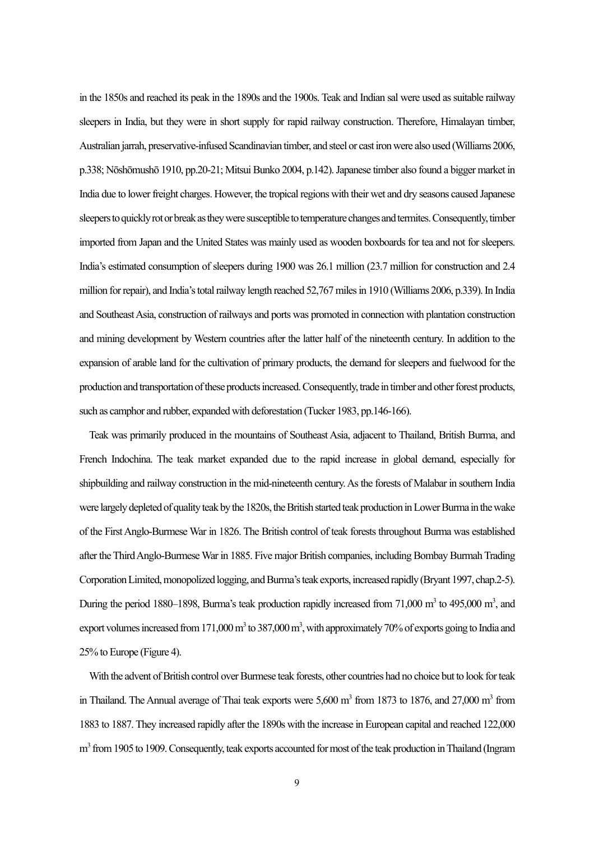in the 1850s and reached its peak in the 1890s and the 1900s. Teak and Indian sal were used as suitable railway sleepers in India, but they were in short supply for rapid railway construction. Therefore, Himalayan timber, Australian jarrah, preservative-infused Scandinavian timber, and steel or cast iron were also used (Williams 2006, p.338; Nōshōmushō 1910, pp.20-21; Mitsui Bunko 2004, p.142). Japanese timber also found a bigger market in India due to lower freight charges. However, the tropical regions with their wet and dry seasons caused Japanese sleepers to quickly rot or break as they were susceptible to temperature changes and termites. Consequently, timber imported from Japan and the United States was mainly used as wooden boxboards for tea and not for sleepers. India's estimated consumption of sleepers during 1900 was 26.1 million (23.7 million for construction and 2.4 million for repair), and India's total railway length reached 52,767 miles in 1910 (Williams 2006, p.339). In India and Southeast Asia, construction of railways and ports was promoted in connection with plantation construction and mining development by Western countries after the latter half of the nineteenth century. In addition to the expansion of arable land for the cultivation of primary products, the demand for sleepers and fuelwood for the production and transportation of these products increased. Consequently, trade in timber and other forest products, such as camphor and rubber, expanded with deforestation (Tucker 1983, pp.146-166).

Teak was primarily produced in the mountains of Southeast Asia, adjacent to Thailand, British Burma, and French Indochina. The teak market expanded due to the rapid increase in global demand, especially for shipbuilding and railway construction in the mid-nineteenth century. As the forests of Malabar in southern India were largely depleted of quality teak by the 1820s, the British started teak production in Lower Burma in the wake of the First Anglo-Burmese War in 1826. The British control of teak forests throughout Burma was established after the Third Anglo-Burmese Warin 1885. Five major British companies, including Bombay Burmah Trading Corporation Limited, monopolized logging, and Burma's teak exports, increased rapidly(Bryant 1997, chap.2-5). During the period 1880–1898, Burma's teak production rapidly increased from 71,000  $m<sup>3</sup>$  to 495,000  $m<sup>3</sup>$ , and export volumes increased from 171,000  $m^3$  to 387,000  $m^3$ , with approximately 70% of exports going to India and 25% to Europe (Figure 4).

With the advent of British control over Burmese teak forests, other countries had no choice but to look for teak in Thailand. The Annual average of Thai teak exports were  $5{,}600 \text{ m}^3$  from 1873 to 1876, and 27,000 m<sup>3</sup> from 1883 to 1887. They increased rapidly after the 1890s with the increase in European capital and reached 122,000 m<sup>3</sup> from 1905 to 1909. Consequently, teak exports accounted for most of the teak production in Thailand (Ingram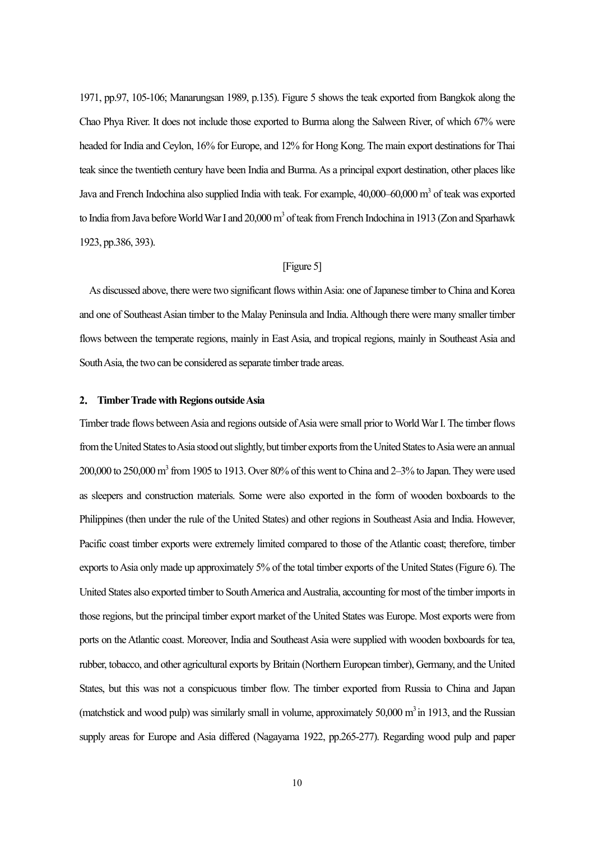1971, pp.97, 105-106; Manarungsan 1989, p.135). Figure 5 shows the teak exported from Bangkok along the Chao Phya River. It does not include those exported to Burma along the Salween River, of which 67% were headed for India and Ceylon, 16% for Europe, and 12% for Hong Kong. The main export destinations for Thai teak since the twentieth century have been India and Burma.As a principal export destination, other places like Java and French Indochina also supplied India with teak. For example, 40,000–60,000 m<sup>3</sup> of teak was exported to India from Java before World War I and  $20,000 \text{ m}^3$  of teak from French Indochina in 1913 (Zon and Sparhawk 1923, pp.386, 393).

#### [Figure 5]

As discussed above, there were two significant flows within Asia: one of Japanese timber to China and Korea and one of Southeast Asian timber to the Malay Peninsula and India. Although there were many smaller timber flows between the temperate regions, mainly in East Asia, and tropical regions, mainly in Southeast Asia and South Asia, the two can be considered as separate timber trade areas.

#### **2**. **Timber Trade with Regions outsideAsia**

Timber trade flows between Asia and regions outside of Asia were small prior to World War I. The timber flows from the United States to Asia stood out slightly, but timber exports from the United States to Asia were an annual  $200,000$  to  $250,000$  m<sup>3</sup> from 1905 to 1913. Over 80% of this went to China and  $2-3$ % to Japan. They were used as sleepers and construction materials. Some were also exported in the form of wooden boxboards to the Philippines (then under the rule of the United States) and other regions in Southeast Asia and India. However, Pacific coast timber exports were extremely limited compared to those of the Atlantic coast; therefore, timber exports to Asia only made up approximately 5% of the total timber exports of the United States(Figure 6). The United States also exported timber to South America and Australia, accounting for most of the timber imports in those regions, but the principal timber export market of the United States was Europe. Most exports were from ports on the Atlantic coast. Moreover, India and Southeast Asia were supplied with wooden boxboards for tea, rubber, tobacco, and other agricultural exports by Britain (Northern European timber), Germany, and the United States, but this was not a conspicuous timber flow. The timber exported from Russia to China and Japan (matchstick and wood pulp) was similarly small in volume, approximately  $50,000$  m<sup>3</sup> in 1913, and the Russian supply areas for Europe and Asia differed (Nagayama 1922, pp.265-277). Regarding wood pulp and paper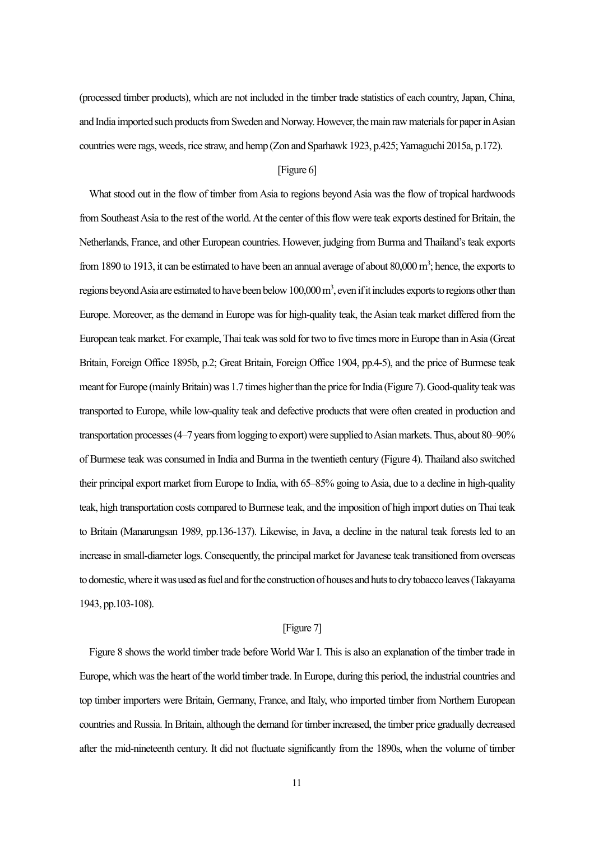(processed timber products), which are not included in the timber trade statistics of each country, Japan, China, and India imported such products from Sweden and Norway. However, the main raw materials for paper in Asian countries were rags, weeds, rice straw, and hemp (Zon and Sparhawk 1923, p.425; Yamaguchi 2015a, p.172).

#### [Figure 6]

What stood out in the flow of timber from Asia to regions beyond Asia was the flow of tropical hardwoods from Southeast Asia to the rest of the world. At the center of this flow were teak exports destined for Britain, the Netherlands, France, and other European countries. However, judging from Burma and Thailand's teak exports from 1890 to 1913, it can be estimated to have been an annual average of about  $80,000 \text{ m}^3$ ; hence, the exports to regions beyond Asia are estimated to have been below  $100,000$  m<sup>3</sup>, even if it includes exports to regions other than Europe. Moreover, as the demand in Europe was for high-quality teak, the Asian teak market differed from the European teak market. For example, Thai teak was sold for two to five times more in Europe than in Asia (Great Britain, Foreign Office 1895b, p.2; Great Britain, Foreign Office 1904, pp.4-5), and the price of Burmese teak meant for Europe (mainly Britain) was 1.7 times higher than the price for India (Figure 7). Good-quality teak was transported to Europe, while low-quality teak and defective products that were often created in production and transportation processes(4–7 years from logging to export) were supplied to Asian markets. Thus, about 80–90% of Burmese teak was consumed in India and Burma in the twentieth century (Figure 4). Thailand also switched their principal export market from Europe to India, with 65–85% going to Asia, due to a decline in high-quality teak, high transportation costs compared to Burmese teak, and the imposition of high import duties on Thai teak to Britain (Manarungsan 1989, pp.136-137). Likewise, in Java, a decline in the natural teak forests led to an increase in small-diameter logs. Consequently, the principal market for Javanese teak transitioned from overseas to domestic,where it was used as fuel and for the construction of houses and huts to dry tobacco leaves(Takayama 1943, pp.103-108).

#### [Figure 7]

Figure 8 shows the world timber trade before World War I. This is also an explanation of the timber trade in Europe, which wasthe heart of the world timber trade. In Europe, during this period, the industrial countries and top timber importers were Britain, Germany, France, and Italy, who imported timber from Northern European countries and Russia. In Britain, although the demand for timber increased, the timber price gradually decreased after the mid-nineteenth century. It did not fluctuate significantly from the 1890s, when the volume of timber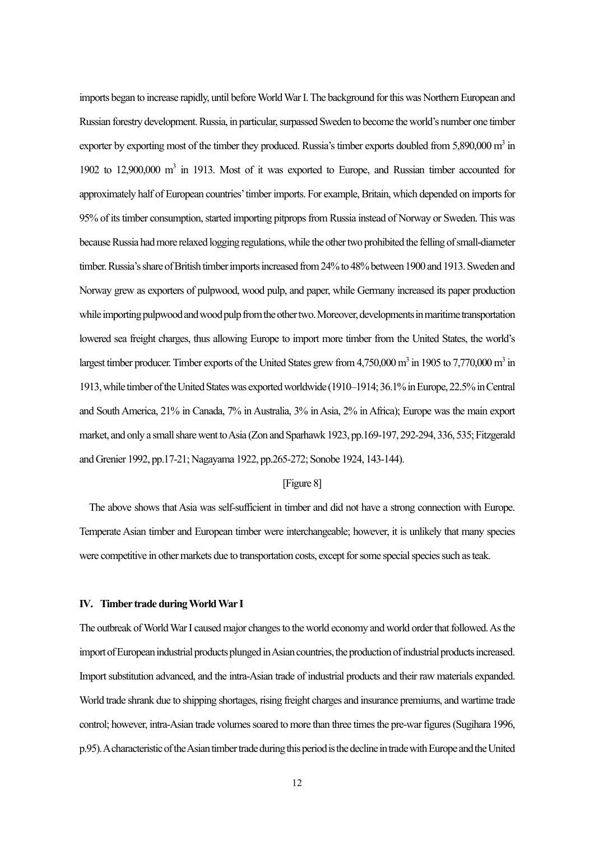imports began to increase rapidly, until beforeWorld WarI. The background for this was Northern European and Russian forestry development. Russia, in particular, surpassed Sweden to become the world's number one timber exporter by exporting most of the timber they produced. Russia's timber exports doubled from  $5,890,000$  m<sup>3</sup> in 1902 to 12,900,000 m<sup>3</sup> in 1913. Most of it was exported to Europe, and Russian timber accounted for approximately half of European countries' timber imports. For example, Britain, which depended on imports for 95% of its timber consumption, started importing pitprops from Russia instead of Norway or Sweden. This was because Russia had more relaxed logging regulations, while the other two prohibited the felling of small-diameter timber. Russia'sshare of British timber imports increased from 24% to 48% between 1900 and 1913. Sweden and Norway grew as exporters of pulpwood, wood pulp, and paper, while Germany increased its paper production while importing pulpwood and wood pulp from the other two. Moreover, developments in maritime transportation lowered sea freight charges, thus allowing Europe to import more timber from the United States, the world's largest timber producer. Timber exports of the United States grew from 4,750,000 m<sup>3</sup> in 1905 to 7,770,000 m<sup>3</sup> in 1913, while timber ofthe United States was exported worldwide (1910–1914; 36.1% in Europe,22.5% in Central and South America, 21% in Canada, 7% in Australia, 3% in Asia, 2% in Africa); Europe was the main export market, and only a small share went to Asia (Zon and Sparhawk 1923, pp.169-197, 292-294, 336, 535; Fitzgerald and Grenier 1992, pp.17-21; Nagayama 1922, pp.265-272; Sonobe 1924, 143-144).

#### [Figure 8]

The above shows that Asia was self-sufficient in timber and did not have a strong connection with Europe. Temperate Asian timber and European timber were interchangeable; however, it is unlikely that many species were competitive in other markets due to transportation costs, except for some special species such as teak.

#### **IV. Timber trade during World War I**

The outbreak of World War I caused major changes to the world economy and world order that followed.As the import of European industrial products plunged in Asian countries, the production of industrial products increased. Import substitution advanced, and the intra-Asian trade of industrial products and their raw materials expanded. World trade shrank due to shipping shortages, rising freight charges and insurance premiums, and wartime trade control; however, intra-Asian trade volumes soared to more than three times the pre-war figures(Sugihara 1996, p.95).A characteristic of the Asian timber trade during this period is the decline in trade with Europe and the United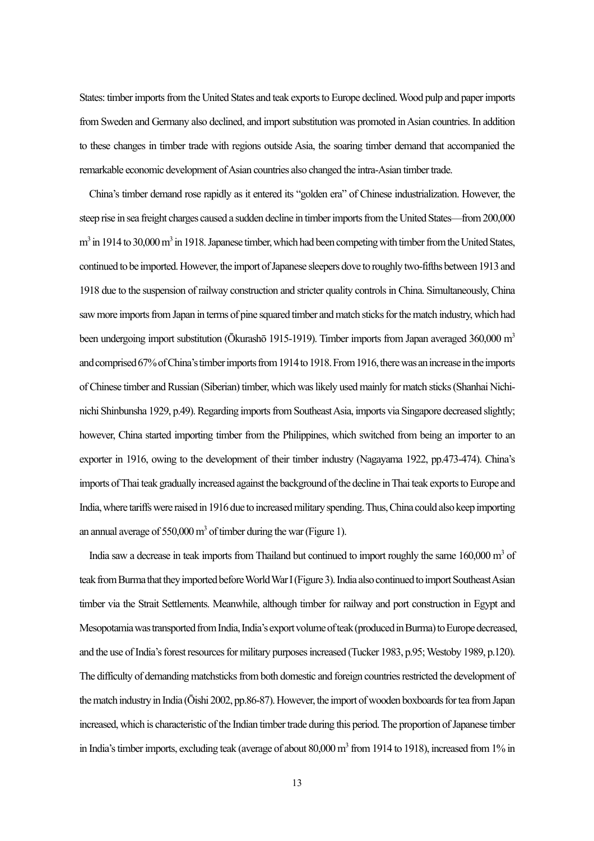States: timber imports from the United States and teak exports to Europe declined. Wood pulp and paper imports from Sweden and Germany also declined, and import substitution was promoted in Asian countries. In addition to these changes in timber trade with regions outside Asia, the soaring timber demand that accompanied the remarkable economic development of Asian countries also changed the intra-Asian timber trade.

China's timber demand rose rapidly as it entered its "golden era" of Chinese industrialization. However, the steep rise in sea freight charges caused a sudden decline in timber imports from the United States—from 200,000  $m<sup>3</sup>$  in 1914 to 30,000 m<sup>3</sup> in 1918. Japanese timber, which had been competing with timber from the United States, continued to be imported. However, the import of Japanese sleepers dove to roughly two-fifths between 1913 and 1918 due to the suspension of railway construction and stricter quality controls in China. Simultaneously, China saw more imports from Japan in terms of pine squared timber and match sticks for the match industry, which had been undergoing import substitution (Okurashō 1915-1919). Timber imports from Japan averaged 360,000 m<sup>3</sup> and comprised 67% of China's timber imports from 1914 to 1918. From 1916, there was an increase in the imports of Chinese timber and Russian (Siberian) timber, which was likely used mainly for match sticks(Shanhai Nichinichi Shinbunsha 1929, p.49). Regarding imports from Southeast Asia, imports via Singapore decreased slightly; however, China started importing timber from the Philippines, which switched from being an importer to an exporter in 1916, owing to the development of their timber industry (Nagayama 1922, pp.473-474). China's imports of Thai teak gradually increased against the background of the decline in Thai teak exports to Europe and India, where tariffs were raised in 1916 due to increased military spending. Thus, China could also keep importing an annual average of  $550,000 \text{ m}^3$  of timber during the war (Figure 1).

India saw a decrease in teak imports from Thailand but continued to import roughly the same  $160,000$  m<sup>3</sup> of teak from Burma that they imported before World War I(Figure3). India also continued to import Southeast Asian timber via the Strait Settlements. Meanwhile, although timber for railway and port construction in Egypt and Mesopotamia was transported from India, India's export volume of teak (produced in Burma) to Europe decreased, and the use of India's forest resources for military purposes increased (Tucker 1983, p.95; Westoby 1989, p.120). The difficulty of demanding matchsticks fromboth domestic and foreign countries restricted the development of the match industry in India ( $\bar{\text{O}}$ ishi 2002, pp.86-87). However, the import of wooden boxboards for tea from Japan increased, which is characteristic of the Indian timber trade during this period. The proportion of Japanese timber in India's timber imports, excluding teak (average of about 80,000 m<sup>3</sup> from 1914 to 1918), increased from 1% in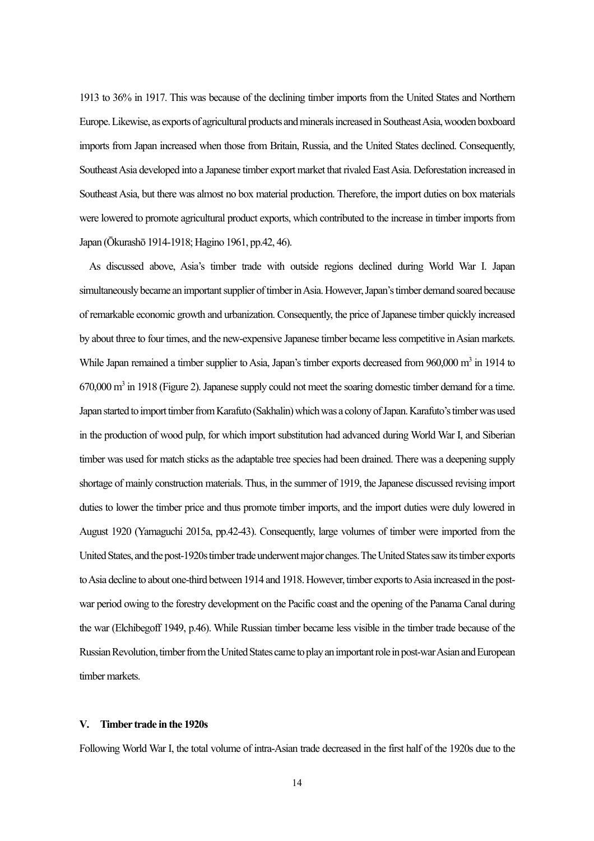1913 to 36% in 1917. This was because of the declining timber imports from the United States and Northern Europe. Likewise, as exports of agricultural products and minerals increased in Southeast Asia, wooden boxboard imports from Japan increased when those from Britain, Russia, and the United States declined. Consequently, Southeast Asia developed into a Japanese timber export market that rivaled East Asia. Deforestation increased in Southeast Asia, but there was almost no box material production. Therefore, the import duties on box materials were lowered to promote agricultural product exports, which contributed to the increase in timber imports from Japan (Ōkurashō 1914-1918; Hagino 1961, pp.42, 46).

As discussed above, Asia's timber trade with outside regions declined during World War I. Japan simultaneously became an important supplier of timber in Asia. However, Japan's timber demand soared because of remarkable economic growth and urbanization. Consequently, the price of Japanese timber quickly increased by about three to four times, and the new-expensive Japanese timber became less competitive in Asian markets. While Japan remained a timber supplier to Asia, Japan's timber exports decreased from  $960,000$  m<sup>3</sup> in 1914 to  $670,000$  m<sup>3</sup> in 1918 (Figure 2). Japanese supply could not meet the soaring domestic timber demand for a time. Japan started to import timber from Karafuto (Sakhalin) which was a colony of Japan. Karafuto's timber was used in the production of wood pulp, for which import substitution had advanced during World War I, and Siberian timber was used for match sticks as the adaptable tree species had been drained. There was a deepening supply shortage of mainly construction materials. Thus, in the summer of 1919, the Japanese discussed revising import duties to lower the timber price and thus promote timber imports, and the import duties were duly lowered in August 1920 (Yamaguchi 2015a, pp.42-43). Consequently, large volumes of timber were imported from the United States, and the post-1920s timber trade underwent major changes. The United Statessaw its timber exports to Asia decline to about one-third between 1914 and 1918.However, timber exports to Asia increased in the postwar period owing to the forestry development on the Pacific coast and the opening of the Panama Canal during the war (Elchibegoff 1949, p.46). While Russian timber became less visible in the timber trade because of the Russian Revolution, timber from the United States came to play an important role in post-war Asian and European timber markets.

#### **V. Timber trade in the 1920s**

Following World War I, the total volume of intra-Asian trade decreased in the first half of the 1920s due to the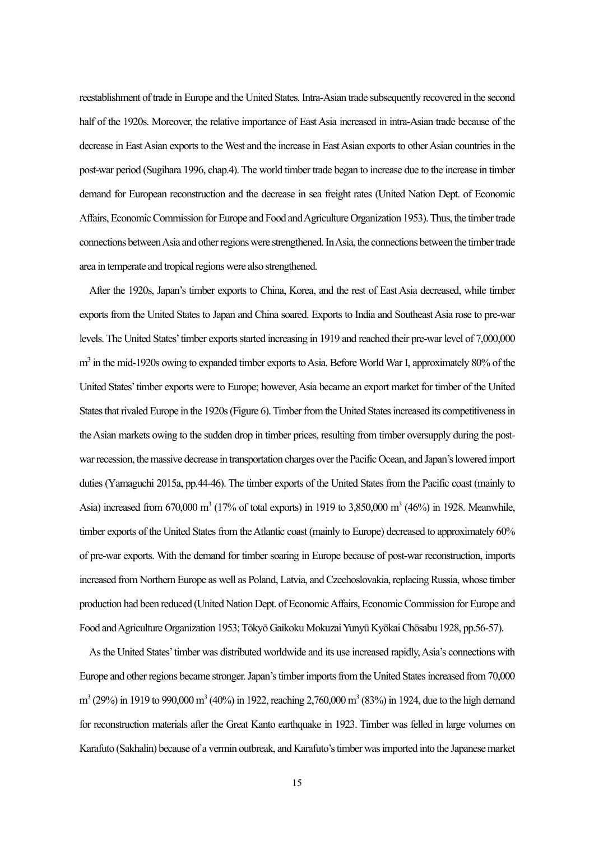reestablishment of trade in Europe and the United States. Intra-Asian trade subsequently recovered in the second half of the 1920s. Moreover, the relative importance of East Asia increased in intra-Asian trade because of the decrease in East Asian exports to the West and the increase in East Asian exports to other Asian countries in the post-war period (Sugihara 1996, chap.4). The world timber trade began to increase due to the increase in timber demand for European reconstruction and the decrease in sea freight rates (United Nation Dept. of Economic Affairs, Economic Commission for Europe and Food and Agriculture Organization 1953).Thus, the timber trade connections between Asia and other regions were strengthened.In Asia, the connections between the timber trade area in temperate and tropical regions were also strengthened.

After the 1920s, Japan's timber exports to China, Korea, and the rest of East Asia decreased, while timber exports from the United States to Japan and China soared. Exports to India and Southeast Asia rose to pre-war levels. The United States'timber exports started increasing in 1919 and reached their pre-war level of 7,000,000  $m<sup>3</sup>$  in the mid-1920s owing to expanded timber exports to Asia. Before World War I, approximately 80% of the United States'timber exports were to Europe; however, Asia became an export market for timber of the United States that rivaled Europe in the 1920s(Figure 6). Timber from the United States increased its competitiveness in the Asian markets owing to the sudden drop in timber prices, resulting from timber oversupply during the postwar recession, the massive decrease in transportation charges over the Pacific Ocean, and Japan's lowered import duties (Yamaguchi 2015a, pp.44-46). The timber exports of the United States from the Pacific coast (mainly to Asia) increased from  $670,000$  m<sup>3</sup> (17% of total exports) in 1919 to 3,850,000 m<sup>3</sup> (46%) in 1928. Meanwhile, timber exports of the United States from the Atlantic coast (mainly to Europe) decreased to approximately 60% of pre-war exports. With the demand for timber soaring in Europe because of post-war reconstruction, imports increased from Northern Europe as well as Poland, Latvia, and Czechoslovakia, replacing Russia, whose timber production had been reduced (United Nation Dept. of Economic Affairs, Economic Commission for Europe and Food and Agriculture Organization 1953; Tōkyō Gaikoku Mokuzai Yunyū Kyōkai Chōsabu 1928, pp.56-57).

As the United States'timber was distributed worldwide and its use increased rapidly, Asia's connections with Europe and other regions became stronger. Japan's timber imports from the United Statesincreased from 70,000  $m^3$  (29%) in 1919 to 990,000  $m^3$  (40%) in 1922, reaching 2,760,000  $m^3$  (83%) in 1924, due to the high demand for reconstruction materials after the Great Kanto earthquake in 1923. Timber was felled in large volumes on Karafuto (Sakhalin) because of a vermin outbreak, and Karafuto's timber was imported into the Japanese market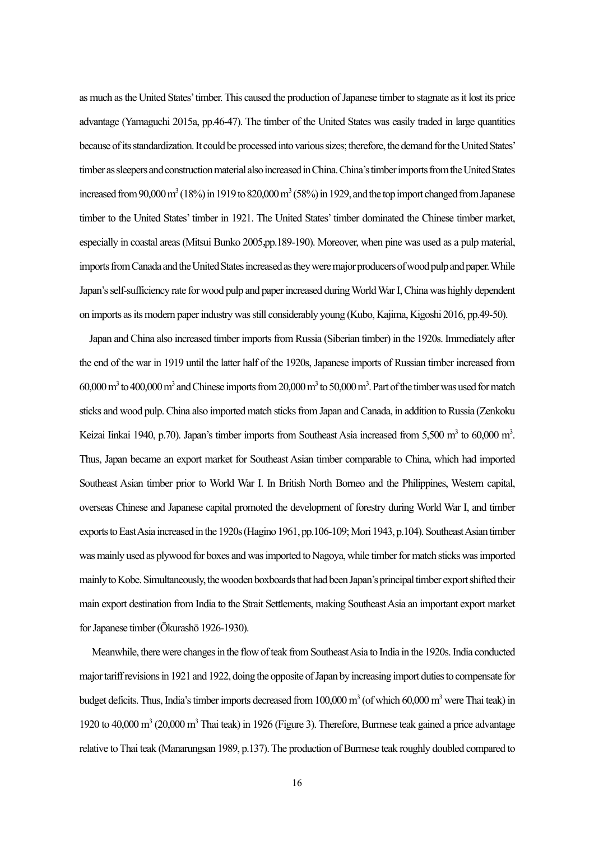as much as the United States'timber.This caused the production of Japanese timber to stagnate as it lost its price advantage (Yamaguchi 2015a, pp.46-47). The timber of the United States was easily traded in large quantities because of its standardization.It could be processed into various sizes; therefore, the demand for the United States' timber as sleepers and construction material also increased in China. China's timber imports from the United States increased from 90,000 m<sup>3</sup> (18%) in 1919 to 820,000 m<sup>3</sup> (58%) in 1929, and the top import changed from Japanese timber to the United States' timber in 1921. The United States' timber dominated the Chinese timber market, especially in coastal areas(Mitsui Bunko 2005,pp.189-190). Moreover, when pine was used as a pulp material, imports from Canada and the United States increased as they were major producers of wood pulp and paper. While Japan's self-sufficiency rate for wood pulp and paper increased during World War I, China was highly dependent on imports as itsmodern paper industry was still considerably young (Kubo, Kajima, Kigoshi 2016, pp.49-50).

Japan and China also increased timber imports from Russia (Siberian timber) in the 1920s. Immediately after the end of the war in 1919 until the latter half of the 1920s, Japanese imports of Russian timber increased from  $60,000$  m<sup>3</sup> to  $400,000$  m<sup>3</sup> and Chinese imports from  $20,000$  m<sup>3</sup> to  $50,000$  m<sup>3</sup>. Part of the timber was used for match sticks and wood pulp.China also imported match sticks from Japan and Canada, in addition to Russia (Zenkoku Keizai Iinkai 1940, p.70). Japan's timber imports from Southeast Asia increased from 5,500 m<sup>3</sup> to 60,000 m<sup>3</sup>. Thus, Japan became an export market for Southeast Asian timber comparable to China, which had imported Southeast Asian timber prior to World War I. In British North Borneo and the Philippines, Western capital, overseas Chinese and Japanese capital promoted the development of forestry during World War I, and timber exports to East Asia increased in the 1920s(Hagino 1961, pp.106-109; Mori 1943, p.104).Southeast Asian timber was mainly used as plywood for boxes and was imported to Nagoya, while timber for match sticks was imported mainly to Kobe. Simultaneously, the wooden boxboards that had been Japan's principal timber export shifted their main export destination from India to the Strait Settlements, making Southeast Asia an important export market for Japanese timber(Ōkurashō 1926-1930).

Meanwhile, there were changes in the flow of teak from Southeast Asia to India in the 1920s. India conducted major tariff revisions in 1921 and 1922, doing the opposite of Japan by increasing import dutiesto compensate for budget deficits. Thus, India's timber imports decreased from 100,000 m<sup>3</sup> (of which 60,000 m<sup>3</sup> were Thai teak) in 1920 to  $40,000$  m<sup>3</sup> (20,000 m<sup>3</sup> Thai teak) in 1926 (Figure 3). Therefore, Burmese teak gained a price advantage relative to Thai teak (Manarungsan 1989, p.137). The production of Burmese teak roughly doubled compared to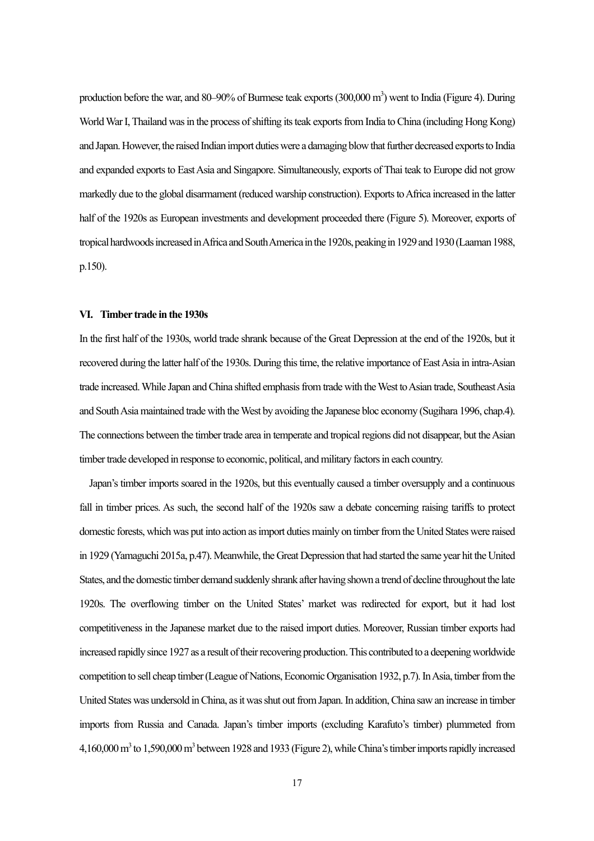production before the war, and 80–90% of Burmese teak exports (300,000 m<sup>3</sup>) went to India (Figure 4). During World War I, Thailand was in the process of shifting its teak exports from India to China (including Hong Kong) and Japan. However, the raised Indian import duties were a damaging blow that further decreased exports to India and expanded exports to East Asia and Singapore. Simultaneously, exports of Thai teak to Europe did not grow markedly due to the global disarmament (reduced warship construction). Exports to Africa increased in the latter half of the 1920s as European investments and development proceeded there (Figure 5). Moreover, exports of tropical hardwoods increased inAfrica and South America in the 1920s, peaking in 1929 and 1930(Laaman 1988, p.150).

#### **VI. Timber trade in the 1930s**

In the first half of the 1930s, world trade shrank because of the Great Depression at the end of the 1920s, but it recovered during the latter half of the 1930s. During this time, the relative importance of East Asia in intra-Asian trade increased.While Japan and China shifted emphasis from trade with the West to Asian trade, Southeast Asia and South Asia maintained trade with the West by avoiding the Japanese bloc economy (Sugihara 1996, chap.4). The connections between the timber trade area in temperate and tropical regions did not disappear, but the Asian timber trade developed in response to economic, political, and military factors in each country.

Japan's timber imports soared in the 1920s, but this eventually caused a timber oversupply and a continuous fall in timber prices. As such, the second half of the 1920s saw a debate concerning raising tariffs to protect domestic forests, which was put into action as import duties mainly on timberfrom the United States were raised in 1929 (Yamaguchi 2015a, p.47). Meanwhile, the Great Depression that had started the same year hit the United States, and the domestic timber demand suddenly shrank after having shown a trend of decline throughout the late 1920s. The overflowing timber on the United States' market was redirected for export, but it had lost competitiveness in the Japanese market due to the raised import duties. Moreover, Russian timber exports had increased rapidly since 1927 as a result of their recovering production.This contributed to a deepening worldwide competition to sell cheap timber(League of Nations,Economic Organisation 1932, p.7). In Asia, timber from the United States was undersold in China, as it was shut out from Japan. In addition, China saw an increase in timber imports from Russia and Canada. Japan's timber imports (excluding Karafuto's timber) plummeted from 4,160,000 m<sup>3</sup> to 1,590,000 m<sup>3</sup> between 1928 and 1933 (Figure 2), while China's timber imports rapidly increased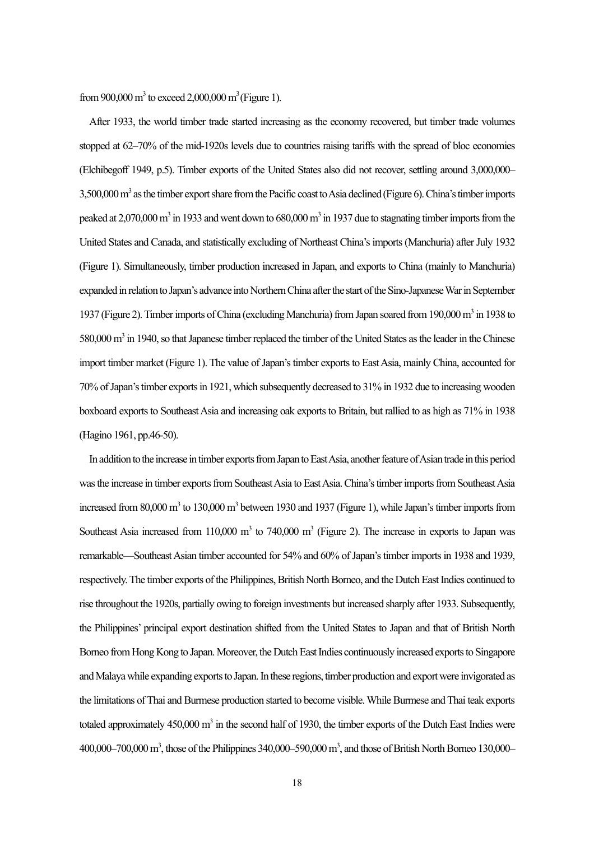from 900,000 m<sup>3</sup> to exceed 2,000,000 m<sup>3</sup> (Figure 1).

After 1933, the world timber trade started increasing as the economy recovered, but timber trade volumes stopped at 62–70% of the mid-1920s levels due to countries raising tariffs with the spread of bloc economies (Elchibegoff 1949, p.5). Timber exports of the United States also did not recover, settling around 3,000,000– 3,500,000 m<sup>3</sup> as the timber export share from the Pacific coast to Asia declined (Figure 6). China's timber imports peaked at 2,070,000 m<sup>3</sup> in 1933 and went down to 680,000 m<sup>3</sup> in 1937 due to stagnating timber imports from the United States and Canada, and statistically excluding of Northeast China'simports(Manchuria) after July 1932 (Figure 1). Simultaneously, timber production increased in Japan, and exports to China (mainly to Manchuria) expanded in relation to Japan's advance into Northern China after the start of the Sino-Japanese War in September 1937 (Figure 2). Timber imports of China (excluding Manchuria) from Japan soared from 190,000 m<sup>3</sup> in 1938 to 580,000  $\text{m}^3$  in 1940, so that Japanese timber replaced the timber of the United States as the leader in the Chinese import timber market (Figure 1). The value of Japan's timber exports to East Asia, mainly China, accounted for 70% of Japan's timber exports in 1921, which subsequently decreased to 31% in 1932 due to increasing wooden boxboard exports to Southeast Asia and increasing oak exports to Britain, but rallied to as high as 71% in 1938 (Hagino 1961, pp.46-50).

In addition to the increase in timber exports from Japan to East Asia, another feature of Asian trade in this period was the increase in timber exports from Southeast Asia to East Asia. China's timber imports from Southeast Asia increased from 80,000 m<sup>3</sup> to 130,000 m<sup>3</sup> between 1930 and 1937 (Figure 1), while Japan's timber imports from Southeast Asia increased from  $110,000 \text{ m}^3$  to 740,000 m<sup>3</sup> (Figure 2). The increase in exports to Japan was remarkable—Southeast Asian timber accounted for 54% and 60% of Japan's timber imports in 1938 and 1939, respectively. The timber exports of the Philippines, British North Borneo, and the Dutch East Indies continued to rise throughout the 1920s, partially owing to foreign investments but increased sharply after 1933. Subsequently, the Philippines' principal export destination shifted from the United States to Japan and that of British North Borneo from Hong Kong to Japan. Moreover, the Dutch East Indies continuously increased exports to Singapore and Malaya while expanding exports to Japan. In these regions, timber production and export were invigorated as the limitations of Thai and Burmese production started to become visible. While Burmese and Thai teak exports totaled approximately  $450,000 \text{ m}^3$  in the second half of 1930, the timber exports of the Dutch East Indies were  $400,000 - 700,000$  m<sup>3</sup>, those of the Philippines 340,000–590,000 m<sup>3</sup>, and those of British North Borneo 130,000–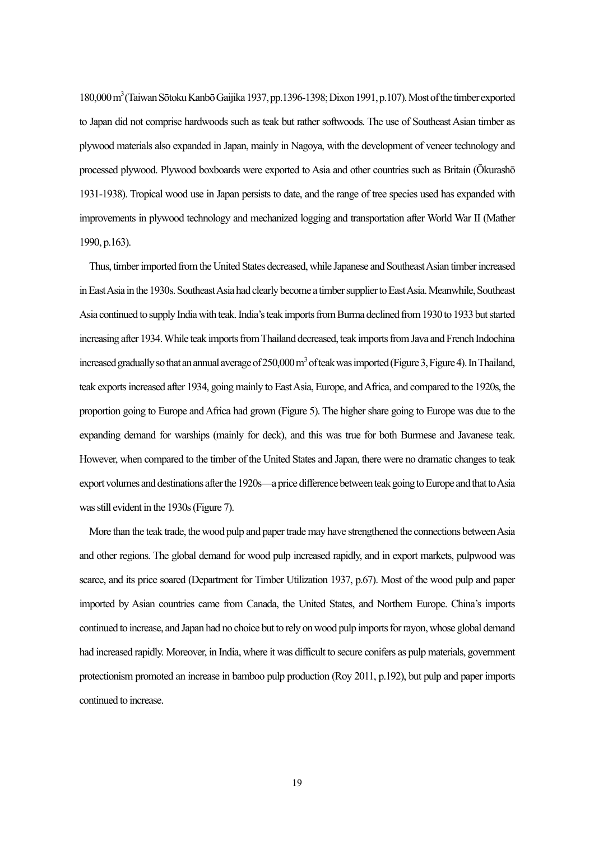180,000 m<sup>3</sup> (Taiwan Sōtoku Kanbō Gaijika 1937, pp.1396-1398; Dixon 1991, p.107). Most of the timber exported to Japan did not comprise hardwoods such as teak but rather softwoods. The use of Southeast Asian timber as plywood materials also expanded in Japan, mainly in Nagoya, with the development of veneer technology and processed plywood. Plywood boxboards were exported to Asia and other countries such as Britain (Ōkurashō 1931-1938). Tropical wood use in Japan persists to date, and the range of tree species used has expanded with improvements in plywood technology and mechanized logging and transportation after World War II (Mather 1990, p.163).

Thus, timber imported from the United States decreased, while Japanese and Southeast Asian timber increased in East Asia in the 1930s. Southeast Asia had clearly become a timber supplier to East Asia. Meanwhile, Southeast Asia continued to supply India with teak. India's teak imports from Burma declined from 1930 to 1933 but started increasing after 1934. While teak imports from Thailand decreased, teak imports from Java and French Indochina increased gradually so that an annual average of  $250,000$  m<sup>3</sup> of teak was imported (Figure 3, Figure 4). In Thailand, teak exports increased after 1934, going mainly to East Asia, Europe, and Africa, and compared to the 1920s, the proportion going to Europe and Africa had grown (Figure 5). The higher share going to Europe was due to the expanding demand for warships (mainly for deck), and this was true for both Burmese and Javanese teak. However, when compared to the timber of the United States and Japan, there were no dramatic changes to teak export volumes and destinations after the 1920s—aprice difference between teak going to Europe and that to Asia was still evident in the 1930s(Figure 7).

More than the teak trade, the wood pulp and paper trade may have strengthened the connections between Asia and other regions. The global demand for wood pulp increased rapidly, and in export markets, pulpwood was scarce, and its price soared (Department for Timber Utilization 1937, p.67). Most of the wood pulp and paper imported by Asian countries came from Canada, the United States, and Northern Europe. China's imports continued to increase, and Japan had no choice but to rely on wood pulp imports for rayon, whose global demand had increased rapidly. Moreover, in India, where it was difficult to secure conifers as pulp materials, government protectionism promoted an increase in bamboo pulp production (Roy 2011, p.192), but pulp and paper imports continued to increase.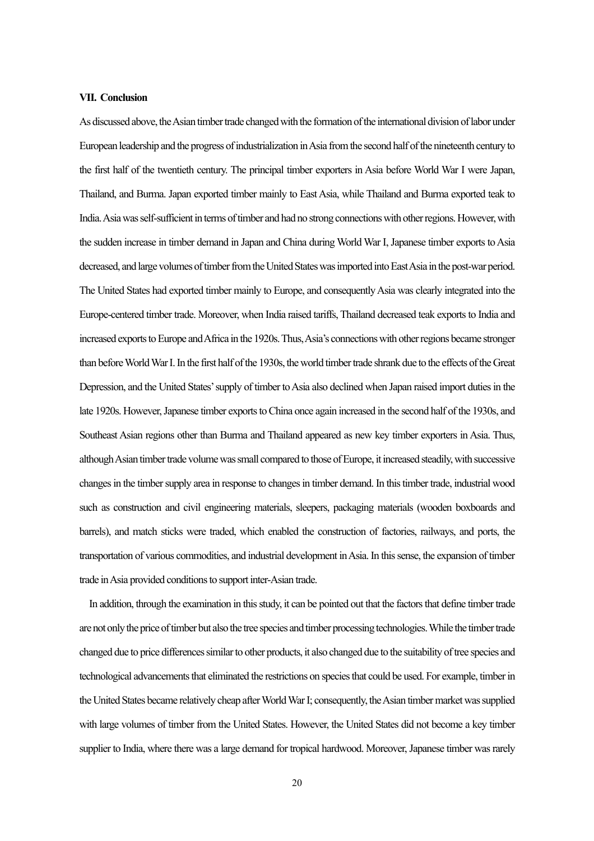#### **VII. Conclusion**

As discussed above, the Asian timber trade changed with the formation of the international division of labor under European leadership and the progress of industrialization in Asia from the second half of the nineteenth century to the first half of the twentieth century. The principal timber exporters in Asia before World War I were Japan, Thailand, and Burma. Japan exported timber mainly to East Asia, while Thailand and Burma exported teak to India. Asia was self-sufficientin terms of timber and had no strong connections with other regions. However, with the sudden increase in timber demand in Japan and China during World War I, Japanese timber exports to Asia decreased, and large volumes of timber from the United States wasimported into East Asia in the post-war period. The United States had exported timber mainly to Europe, and consequentlyAsia was clearly integrated into the Europe-centered timber trade. Moreover, when India raised tariffs, Thailand decreased teak exports to India and increased exports to Europe and Africa in the 1920s. Thus, Asia's connections with other regions became stronger than before World War I. In the first half of the 1930s, the world timber trade shrank due to the effects of the Great Depression, and the United States' supply of timber to Asia also declined when Japan raised import duties in the late 1920s. However, Japanese timber exports to China once again increased in the second half of the 1930s, and Southeast Asian regions other than Burma and Thailand appeared as new key timber exporters in Asia. Thus, although Asian timber trade volume was small compared to those of Europe, it increased steadily, with successive changes in the timber supply area in response to changes in timber demand. In this timber trade, industrial wood such as construction and civil engineering materials, sleepers, packaging materials (wooden boxboards and barrels), and match sticks were traded, which enabled the construction of factories, railways, and ports, the transportation of various commodities, and industrial development in Asia. In this sense, the expansion of timber trade in Asia provided conditions to support inter-Asian trade.

In addition, through the examination in this study, it can be pointed out that the factors that define timber trade are not only the price of timber but also the tree species and timber processing technologies.While the timber trade changed due to price differences similar to other products, it also changed due to the suitability of tree species and technological advancements that eliminated the restrictions on species that could be used. For example, timber in the United States became relatively cheap after World WarI; consequently, the Asian timber market was supplied with large volumes of timber from the United States. However, the United States did not become a key timber supplier to India, where there was a large demand for tropical hardwood. Moreover, Japanese timber was rarely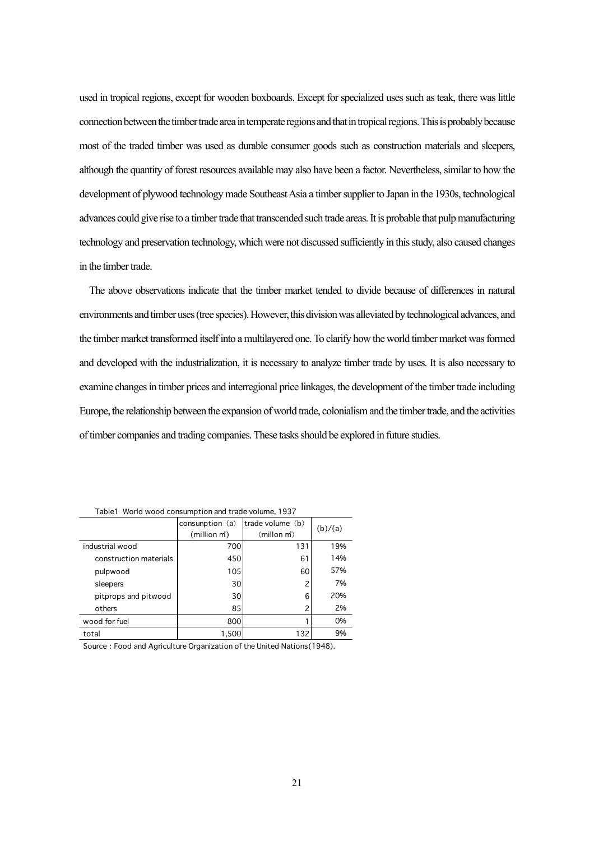used in tropical regions, except for wooden boxboards. Except for specialized uses such as teak, there was little connection between the timber trade area in temperate regions and that in tropical regions. This is probably because most of the traded timber was used as durable consumer goods such as construction materials and sleepers, although the quantity of forest resources available may also have been a factor. Nevertheless, similar to how the development of plywood technology made Southeast Asia a timber supplier to Japan in the 1930s, technological advances could give rise to a timber trade that transcended such trade areas. It is probable that pulp manufacturing technology and preservation technology, which were not discussed sufficiently in this study, also caused changes in the timber trade.

The above observations indicate that the timber market tended to divide because of differences in natural environments and timber uses(tree species).However,this division was alleviated by technological advances, and the timber market transformed itselfinto a multilayered one.To clarify how the world timber market was formed and developed with the industrialization, it is necessary to analyze timber trade by uses. It is also necessary to examine changes in timber prices and interregional price linkages, the development of the timber trade including Europe, the relationship between the expansion of world trade, colonialism and the timber trade, and the activities of timber companies and trading companies. These tasks should be explored in future studies.

|                        | consunption (a)<br>(million m <sup>3</sup> ) | trade volume (b)<br>(millon m) | (b)/(a) |
|------------------------|----------------------------------------------|--------------------------------|---------|
| industrial wood        | 700                                          | 131                            | 19%     |
| construction materials | 450                                          | 61                             | 14%     |
| pulpwood               | 105                                          | 60                             | 57%     |
| sleepers               | 30                                           |                                | 7%      |
| pitprops and pitwood   | 30                                           | 6                              | 20%     |
| others                 | 85                                           |                                | 2%      |
| wood for fuel          | 800                                          |                                | 0%      |
| total                  | 1,500                                        | 132                            | 9%      |

Table1 World wood consumption and trade volume, 1937

Source: Food and Agriculture Organization of the United Nations (1948).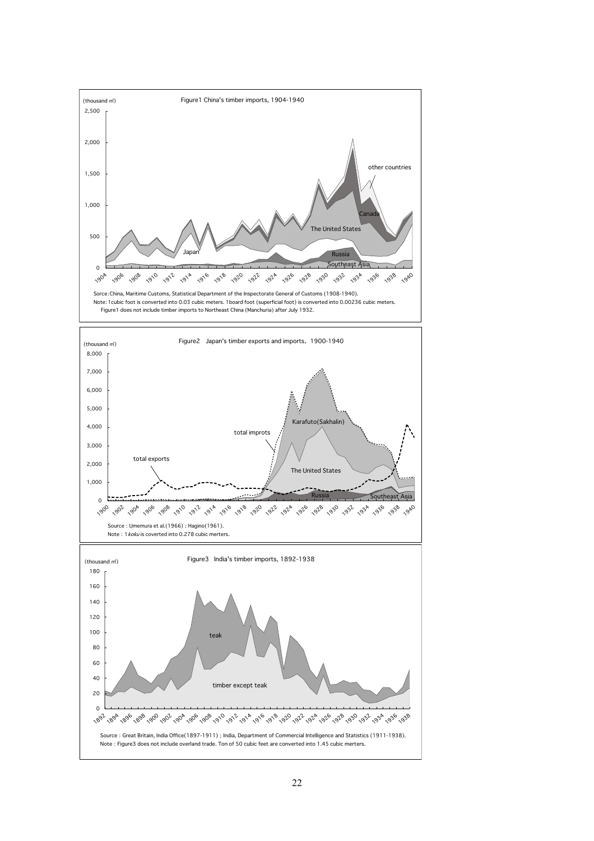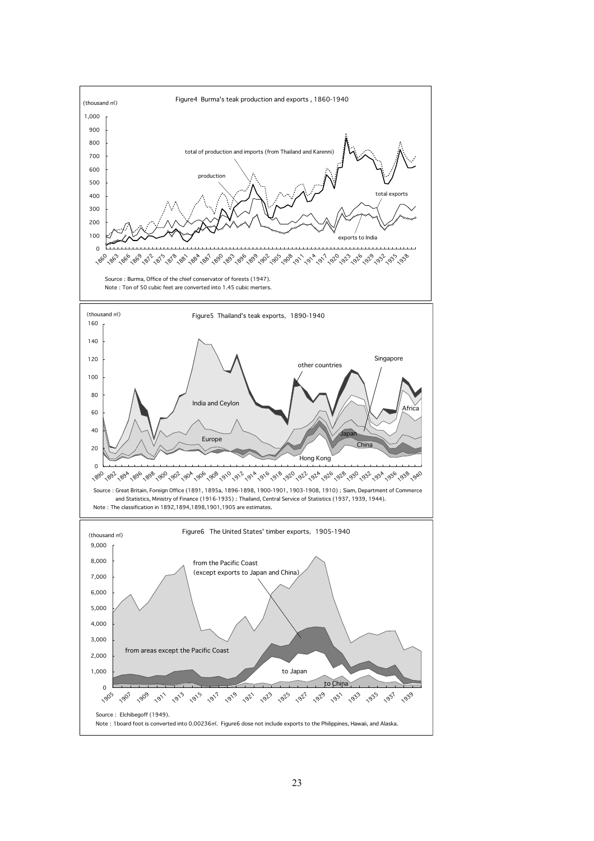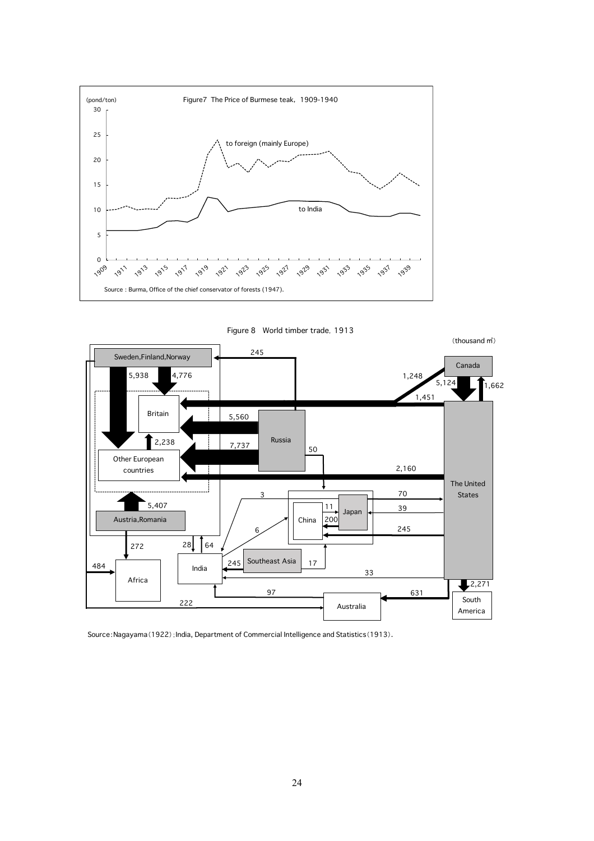

Figure 8 World timber trade,1913



Source:Nagayama(1922);India, Department of Commercial Intelligence and Statistics(1913).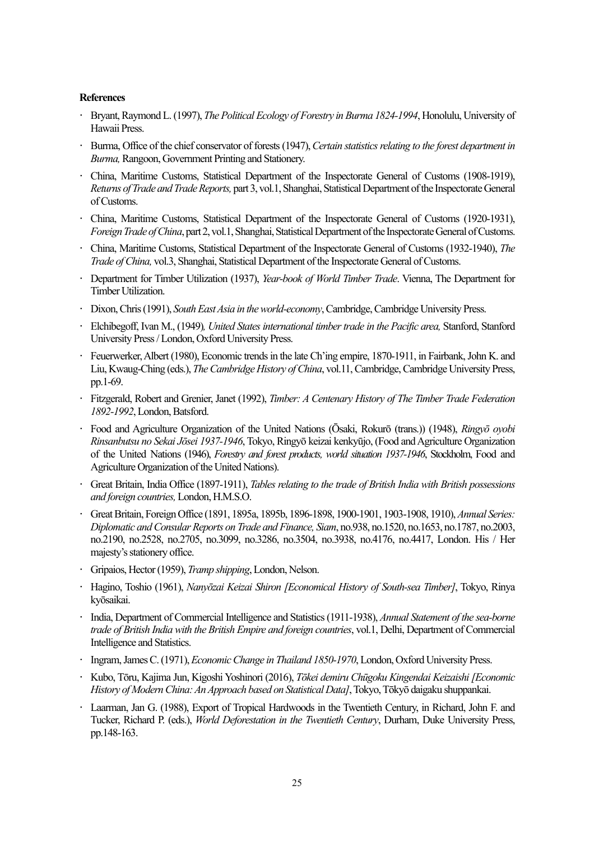#### **References**

- **·** Bryant, Raymond L. (1997), *The Political Ecology of Forestry in Burma 1824-1994*, Honolulu, University of Hawaii Press.
- **·** Burma, Office of the chief conservator of forests (1947),*Certain statistics relating to the forest department in Burma,* Rangoon, Government Printing and Stationery.
- **·** China, Maritime Customs, Statistical Department of the Inspectorate General of Customs (1908-1919), *Returns of Trade and Trade Reports,* part 3, vol.1, Shanghai, Statistical Department of the Inspectorate General of Customs.
- **·** China, Maritime Customs, Statistical Department of the Inspectorate General of Customs (1920-1931), *Foreign Trade of China*, part2, vol.1, Shanghai, Statistical Department of the Inspectorate General of Customs.
- **·** China, Maritime Customs, Statistical Department of the Inspectorate General of Customs (1932-1940), *The Trade of China,* vol.3, Shanghai, Statistical Department of the Inspectorate General of Customs.
- **·** Department for Timber Utilization (1937), *Year-book of World Timber Trade*. Vienna, The Department for Timber Utilization.
- **·** Dixon, Chris (1991), *South East Asia in the world-economy*, Cambridge, Cambridge University Press.
- **·** Elchibegoff, Ivan M., (1949)*, United States international timber trade in the Pacific area,* Stanford, Stanford University Press / London, Oxford University Press.
- **·** Feuerwerker, Albert (1980), Economic trends in the late Ch'ing empire, 1870-1911, in Fairbank, John K. and Liu, Kwaug-Ching (eds.), *The Cambridge History of China*, vol.11, Cambridge, Cambridge University Press, pp.1-69.
- **·** Fitzgerald, Robert and Grenier, Janet (1992), *Timber: A Centenary History of The Timber Trade Federation 1892-1992*,London,Batsford.
- **·** Food and Agriculture Organization of the United Nations (Ōsaki, Rokurō (trans.)) (1948), *Ringyō oyobi Rinsanbutsu no Sekai Jōsei 1937-1946*, Tokyo, Ringyō keizai kenkyūjo, (Food and Agriculture Organization of the United Nations (1946), *Forestry and forest products, world situation 1937-1946*, Stockholm, Food and Agriculture Organization of the United Nations).
- **·** Great Britain, India Office (1897-1911), *Tables relating to the trade of British India with British possessions and foreign countries,* London, H.M.S.O.
- **·** Great Britain, Foreign Office (1891, 1895a, 1895b, 1896-1898, 1900-1901, 1903-1908, 1910), *Annual Series: Diplomatic and Consular Reports on Trade and Finance, Siam*, no.938, no.1520, no.1653, no.1787, no.2003, no.2190, no.2528, no.2705, no.3099, no.3286, no.3504, no.3938, no.4176, no.4417, London. His / Her majesty's stationery office.
- **·** Gripaios, Hector (1959), *Tramp shipping*, London, Nelson.
- **·** Hagino, Toshio (1961), *Nanyōzai Keizai Shiron [Economical History of South-sea Timber]*, Tokyo, Rinya kyōsaikai.
- **·** India, Department of Commercial Intelligence and Statistics (1911-1938), *Annual Statement of the sea-borne trade of British India with the British Empire and foreign countries*, vol.1, Delhi, Department of Commercial Intelligence and Statistics.
- **·** Ingram, James C. (1971), *Economic Change in Thailand 1850-1970*, London, Oxford University Press.
- **·** Kubo, Tōru, Kajima Jun, Kigoshi Yoshinori (2016), *Tōkei demiru Chūgoku Kingendai Keizaishi[Economic History of Modern China: An Approach based on Statistical Data]*, Tokyo, Tōkyō daigaku shuppankai.
- **·** Laarman, Jan G. (1988), Export of Tropical Hardwoods in the Twentieth Century, in Richard, John F. and Tucker, Richard P. (eds.), *World Deforestation in the Twentieth Century*, Durham, Duke University Press, pp.148-163.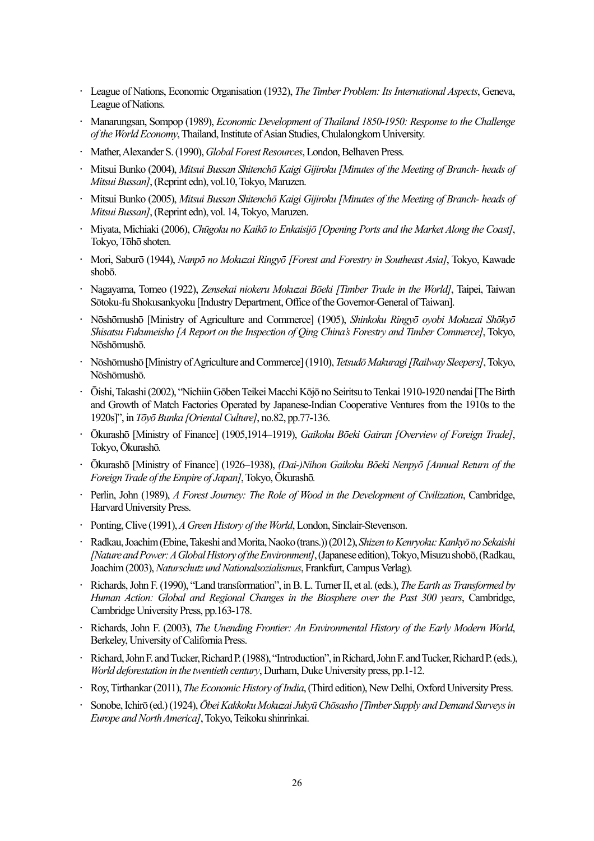- **·** League of Nations, Economic Organisation (1932), *The Timber Problem: Its International Aspects*, Geneva, League of Nations.
- **·** Manarungsan, Sompop (1989), *Economic Development of Thailand 1850-1950: Response to the Challenge of the World Economy*, Thailand, Institute of Asian Studies, Chulalongkorn University.
- **·** Mather, Alexander S. (1990), *Global Forest Resources*, London, Belhaven Press.
- **·** Mitsui Bunko (2004), *Mitsui Bussan Shitenchō Kaigi Gijiroku [Minutes of the Meeting of Branch- heads of Mitsui Bussan]*, (Reprint edn), vol.10, Tokyo, Maruzen.
- **·** Mitsui Bunko (2005), *Mitsui Bussan Shitenchō Kaigi Gijiroku [Minutes of the Meeting of Branch- heads of Mitsui Bussan]*, (Reprint edn), vol. 14, Tokyo, Maruzen.
- **·** Miyata, Michiaki (2006), *Chūgoku no Kaikō to Enkaisijō [Opening Ports and the Market Along the Coast]*, Tokyo, Tōhō shoten.
- **·** Mori, Saburō (1944), *Nanpō no Mokuzai Ringyō [Forest and Forestry in Southeast Asia]*, Tokyo, Kawade shobō.
- **·** Nagayama, Tomeo (1922), *Zensekai niokeru Mokuzai Bōeki [Timber Trade in the World]*, Taipei, Taiwan Sōtoku-fu Shokusankyoku [Industry Department, Office of the Governor-General of Taiwan].
- **·** Nōshōmushō [Ministry of Agriculture and Commerce] (1905), *Shinkoku Ringyō oyobi Mokuzai Shōkyō Shisatsu Fukumeisho [A Report on the Inspection of Qing China's Forestry and Timber Commerce]*, Tokyo, Nōshōmushō.
- **·** Nōshōmushō [Ministry of Agriculture and Commerce] (1910), *TetsudōMakuragi [Railway Sleepers]*, Tokyo, Nōshōmushō.
- **·** Ōishi, Takashi (2002), "Nichiin Gōben Teikei Macchi Kōjō no Seiritsu to Tenkai 1910-1920 nendai [The Birth and Growth of Match Factories Operated by Japanese-Indian Cooperative Ventures from the 1910s to the 1920s]", in *Tōyō Bunka [Oriental Culture]*, no.82, pp.77-136.
- **·** Ōkurashō [Ministry of Finance] (1905,1914–1919), *Gaikoku Bōeki Gairan [Overview of Foreign Trade]*, Tokyo, Ōkurashō*.*
- **·** Ōkurashō [Ministry of Finance] (1926–1938), *(Dai-)Nihon Gaikoku Bōeki Nenpyō [Annual Return of the Foreign Trade of the Empire of Japan]*, Tokyo, Ōkurashō*.*
- **·** Perlin, John (1989), *A Forest Journey: The Role of Wood in the Development of Civilization*, Cambridge, Harvard University Press.
- **·** Ponting, Clive (1991), *A Green History of the World*, London, Sinclair-Stevenson.
- **·** Radkau, Joachim (Ebine, Takeshi and Morita, Naoko (trans.)) (2012), *Shizen to Kenryoku: Kankyō no Sekaishi [Nature and Power: A Global History of the Environment]*, (Japanese edition), Tokyo, Misuzu shobō,(Radkau, Joachim(2003), *Naturschutz und Nationalsozialismus*, Frankfurt, Campus Verlag).
- **·** Richards, John F. (1990), "Land transformation", in B. L. Turner Ⅱ, et al. (eds.), *The Earth as Transformed by Human Action: Global and Regional Changes in the Biosphere over the Past 300 years*, Cambridge, Cambridge University Press, pp.163-178.
- **·** Richards, John F. (2003), *The Unending Frontier: An Environmental History of the Early Modern World*, Berkeley, University of California Press.
- **·** Richard, John F. and Tucker, Richard P. (1988), "Introduction", in Richard, John F. and Tucker, Richard P. (eds.), *World deforestation in the twentieth century*, Durham, Duke University press, pp.1-12.
- **·** Roy, Tirthankar (2011), *The Economic History of India*, (Third edition), New Delhi, Oxford University Press.
- **·** Sonobe, Ichirō (ed.) (1924), *Ōbei Kakkoku Mokuzai JukyūChōsasho [Timber Supply and Demand Surveys in Europe and North America]*, Tokyo, Teikoku shinrinkai.